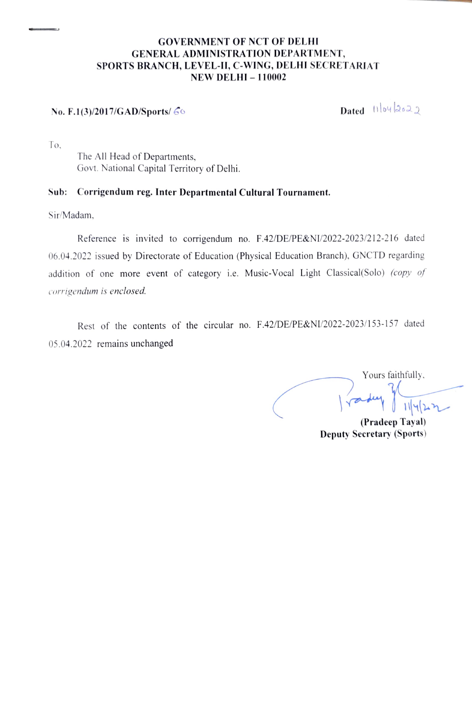#### GOVERNMENT OF NCT OF DELHI GENERAL ADMINISTRATION DEPARTMENT, SPORTS BRANCH, LEVEL-II, C-WING, DELHI SECRETARIAT **NEW DELHI - 110002**

### No. F.1(3)/2017/GAD/Sports/  $60$  Dated log 2022

To.

The All Head of Departments, Govt. National Capital Territory of Delhi.

#### Sub: Corrigendum reg. Inter Departmental Cultural Tournament.

Sir/Madam

Reference is invited to corrigendum no. F.42/DE/PE&NI/2022-2023/212-216 dated 06.04.2022 issued by Directorate of Education (Physical Education Branch). GNCTD regarding addition of one more event of category i.e. Music-Vocal Light Classical(Solo) (copy of corrigendum is enclosed.

Rest of the contents of the circular no. F.42/DE/PE&NI/2022-2023/153-157 dated 05.04.2022 remains unchanged

Yours faithfully, (Pradeep Tayal)

Deputy Seeretary (Sports)